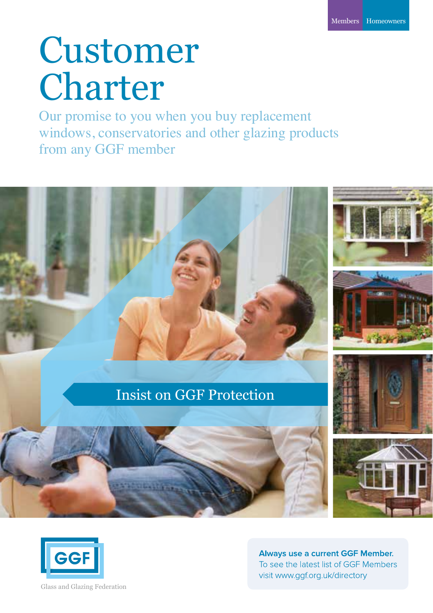## Customer **Charter**

Our promise to you when you buy replacement windows, conservatories and other glazing products from any GGF member





Always use a current GGF Member. To see the latest list of GGF Members visit www.qqf.org.uk/directory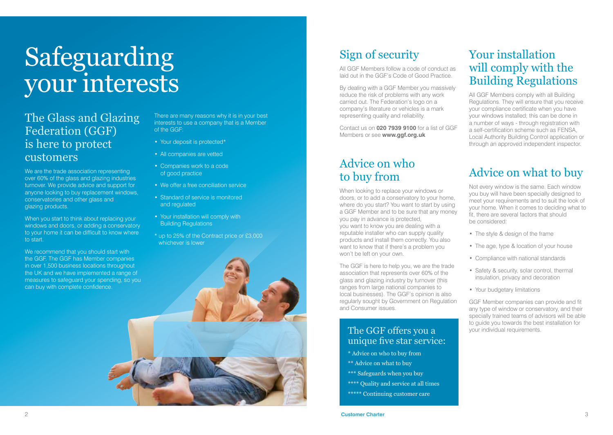# Safeguarding your interests

#### The Glass and Glazing Federation (GGF) is here to protect customers

We are the trade association representing over 60% of the glass and glazing industries turnover. We provide advice and support for anyone looking to buy replacement windows, conservatories and other glass and glazing products.

When you start to think about replacing your windows and doors, or adding a conservatory to your home it can be difficult to know where to start.

We recommend that you should start with the GGF. The GGF has Member companies in over 1,500 business locations throughout the UK and we have implemented a range of measures to safeguard your spending, so you can buy with complete confidence.

There are many reasons why it is in your best interests to use a company that is a Member of the GGF:

- Your deposit is protected\*
- All companies are vetted
- Companies work to a code of good practice
- We offer a free conciliation service
- Standard of service is monitored and regulated
- Your installation will comply with Building Regulations
- \* up to 25% of the Contract price or £3,000 whichever is lower



### Sign of security

All GGF Members follow a code of conduct as laid out in the GGF's Code of Good Practice.

By dealing with a GGF Member you massively reduce the risk of problems with any work carried out. The Federation's logo on a company's literature or vehicles is a mark representing quality and reliability.

Contact us on **020 7939 9100** for a list of GGF Members or see **www.ggf.org.uk**

#### Advice on who to buy from

When looking to replace your windows or doors, or to add a conservatory to your home, where do you start? You want to start by using a GGF Member and to be sure that any money you pay in advance is protected, you want to know you are dealing with a reputable installer who can supply quality products and install them correctly. You also want to know that if there's a problem you won't be left on your own.

The GGF is here to help you, we are the trade association that represents over 60% of the glass and glazing industry by turnover (this ranges from large national companies to local businesses). The GGF's opinion is also regularly sought by Government on Regulation and Consumer issues.

#### The GGF offers you a vour individual requirements. unique five star service:

- \* Advice on who to buy from
- \*\* Advice on what to buy
- \*\*\* Safeguards when you buy
- \*\*\*\* Quality and service at all times
- \*\*\*\*\* Continuing customer care

#### Your installation will comply with the Building Regulations

All GGF Members comply with all Building Regulations. They will ensure that you receive your compliance certificate when you have your windows installed; this can be done in a number of ways - through registration with a self-certification scheme such as FENSA, Local Authority Building Control application or through an approved independent inspector.

#### Advice on what to buy

Not every window is the same. Each window you buy will have been specially designed to meet your requirements and to suit the look of your home. When it comes to deciding what to fit, there are several factors that should be considered:

- The style & design of the frame
- The age, type & location of your house
- Compliance with national standards
- Safety & security, solar control, thermal insulation, privacy and decoration
- Your budgetary limitations

GGF Member companies can provide and fit any type of window or conservatory, and their specially trained teams of advisors will be able to guide you towards the best installation for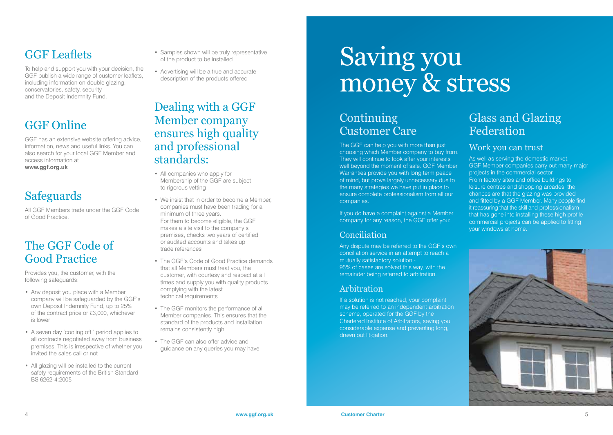### GGF Leaflets

To help and support you with your decision, the GGF publish a wide range of customer leaflets, including information on double glazing, conservatories, safety, security and the Deposit Indemnity Fund.

## GGF Online

GGF has an extensive website offering advice, information, news and useful links. You can also search for your local GGF Member and access information at **www.ggf.org.uk**

### **Safeguards**

All GGF Members trade under the GGF Code of Good Practice.

#### The GGF Code of Good Practice

Provides you, the customer, with the following safeguards:

- Any deposit you place with a Member company will be safeguarded by the GGF's own Deposit Indemnity Fund, up to 25% of the contract price or £3,000, whichever is lower
- A seven day 'cooling off ' period applies to all contracts negotiated away from business premises. This is irrespective of whether you invited the sales call or not
- All glazing will be installed to the current safety requirements of the British Standard BS 6262-4:2005
- Samples shown will be truly representative of the product to be installed
- Advertising will be a true and accurate description of the products offered

#### Dealing with a GGF Member company ensures high quality and professional standards:

- All companies who apply for Membership of the GGF are subject to rigorous vetting
- We insist that in order to become a Member, companies must have been trading for a minimum of three years. For them to become eligible, the GGF makes a site visit to the company's premises, checks two years of certified or audited accounts and takes up trade references
- The GGF's Code of Good Practice demands that all Members must treat you, the customer, with courtesy and respect at all times and supply you with quality products complying with the latest technical requirements
- The GGF monitors the performance of all Member companies. This ensures that the standard of the products and installation remains consistently high
- The GGF can also offer advice and guidance on any queries you may have

## Saving you money & stress

#### **Continuing** Customer Care

The GGF can help you with more than just choosing which Member company to buy from. They will continue to look after your interests well beyond the moment of sale. GGF Member Warranties provide you with long term peace of mind, but prove largely unnecessary due to the many strategies we have put in place to ensure complete professionalism from all our companies.

If you do have a complaint against a Member company for any reason, the GGF offer you:

#### Conciliation

Any dispute may be referred to the GGF's own conciliation service in an attempt to reach a mutually satisfactory solution - 95% of cases are solved this way, with the remainder being referred to arbitration.

#### Arbitration

If a solution is not reached, your complaint may be referred to an independent arbitration scheme, operated for the GGF by the Chartered Institute of Arbitrators, saving you considerable expense and preventing long, drawn out litigation.

#### Glass and Glazing Federation

#### Work you can trust

As well as serving the domestic market, GGF Member companies carry out many major projects in the commercial sector. From factory sites and office buildings to leisure centres and shopping arcades, the chances are that the glazing was provided and fitted by a GGF Member. Many people find it reassuring that the skill and professionalism that has gone into installing these high profile commercial projects can be applied to fitting your windows at home.

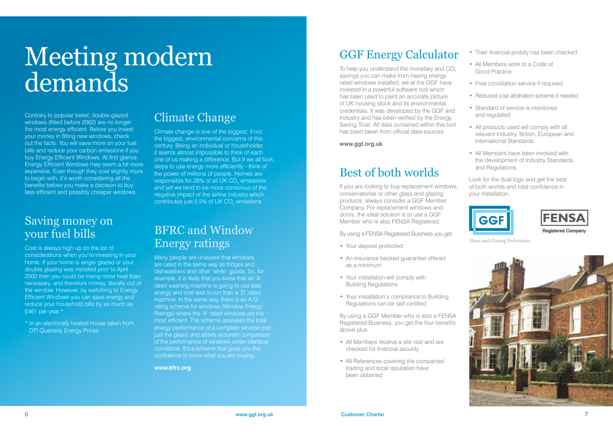## Meeting modern demands

Contrary to popular belief, double-glazed windows (fitted before 2002) are no longer the most energy efficient. Before you invest your money in fitting new windows, check out the facts. You will save more on your fuel bills and reduce your carbon emissions if you buy Energy Efficient Windows. At first glance Energy Efficient Windows may seem a bit more expensive. Even though they cost slightly more to begin with, it's worth considering all the benefits before you make a decision to buy less efficient and possibly cheaper windows.

#### Saving money on your fuel bills

Cost is always high up on the list of considerations when you're investing in your home. If your home is single glazed or your double glazing was installed prior to April 2002 then you could be losing more heat than necessary, and therefore money, literally out of the window. However, by switching to Energy Efficient Windows you can save energy and reduce your household bills by as much as £461 per year.\*

\* In an electrically heated house taken from **DTI Quarterly Energy Prices** 

### Climate Change

Climate change is one of the biggest, if not the biggest, environmental concerns of this century. Being an individual or householder, it seems almost impossible to think of each one of us making a difference. But if we all took steps to use energy more efficiently - think of the power of millions of people. Homes are responsible for 28% of all UK CO<sub>2</sub> emissions and yet we tend to be more conscious of the negative impact of the airline industry which contributes just 5.5% of UK CO $_2$  emissions.

#### BFRC and Window Energy ratings

Many people are unaware that windows are rated in the same way as fridges and dishwashers and other 'white' goods. So, for example, it is likely that you know that an 'A' rated washing machine is going to use less energy and cost less to run than a 'D' rated machine. In the same way, there is an A-G rating scheme for windows (Window Energy Ratings) where the 'A' rated windows are the most efficient. The scheme assesses the total energy performance of a complete window (not just the glass) and allows accurate comparison of the performance of windows under identical conditions. It's a scheme that gives you the confidence to know what you are buying.

**www.bfrc.org** 

#### GGF Energy Calculator

To help you understand the monetary and CO<sub>2</sub> savings you can make from having energy rated windows installed, we at the GGF have invested in a powerful software tool which has been used to paint an accurate picture of UK housing stock and its environmental credentials. It was developed by the GGF and Industry and has been verified by the Energy Saving Trust. All data contained within this tool has been taken from official data sources.

#### **www.ggf.org.uk**

#### Best of both worlds

If you are looking to buy replacement windows, conservatories or other glass and glazing products, always consider a GGF Member Company. For replacement windows and doors, the ideal solution is to use a GGF Member who is also FENSA Registered.

By using a FENSA Registered Business you get:

- Your deposit protected
- An insurance backed guarantee offered as a minimum
- Your installation will comply with Building Regulations
- Your installation's compliance to Building Regulations can be self certified

By using a GGF Member who is also a FENSA Registered Business, you get the four benefits above plus:

- All Members receive a site visit and are checked for financial security
- All References covering the companies' trading and local reputation have been obtained
- Their financial probity has been checked
- All Members work to a Code of Good Practice
- Free conciliation service if required
- Reduced cost arbitration scheme if needed
- Standard of service is monitored and regulated
- All products used will comply with all relevant Industry, British, European and International Standards
- All Members have been involved with the development of Industry Standards and Regulations

Look for the dual logo and get the best of both worlds and total confidence in your installation.





Glass and Glazing Federation